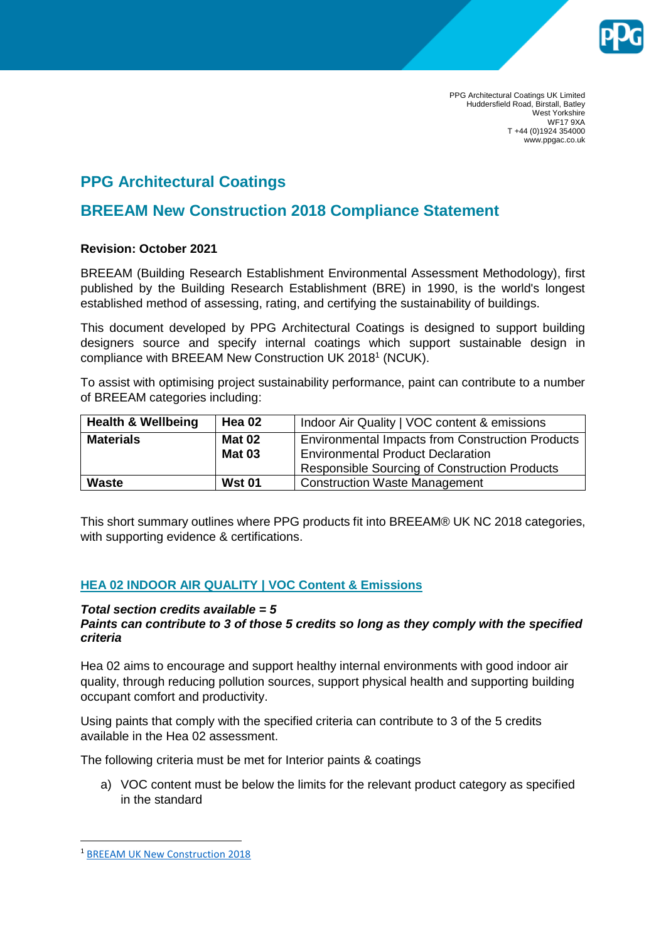

PPG Architectural Coatings UK Limited Huddersfield Road, Birstall, Batley West Yorkshire WF17 9XA T +44 (0)1924 354000 www.ppgac.co.uk

# **PPG Architectural Coatings**

## **BREEAM New Construction 2018 Compliance Statement**

## **Revision: October 2021**

BREEAM (Building Research Establishment Environmental Assessment Methodology), first published by the Building Research Establishment (BRE) in 1990, is the world's longest established method of assessing, rating, and certifying the sustainability of buildings.

This document developed by PPG Architectural Coatings is designed to support building designers source and specify internal coatings which support sustainable design in compliance with BREEAM New Construction UK 2018<sup>1</sup> (NCUK).

To assist with optimising project sustainability performance, paint can contribute to a number of BREEAM categories including:

| <b>Health &amp; Wellbeing</b> | <b>Hea 02</b> | Indoor Air Quality   VOC content & emissions            |  |  |
|-------------------------------|---------------|---------------------------------------------------------|--|--|
| <b>Materials</b>              | <b>Mat 02</b> | <b>Environmental Impacts from Construction Products</b> |  |  |
|                               | <b>Mat 03</b> | <b>Environmental Product Declaration</b>                |  |  |
|                               |               | <b>Responsible Sourcing of Construction Products</b>    |  |  |
| <b>Waste</b>                  | <b>Wst 01</b> | <b>Construction Waste Management</b>                    |  |  |

This short summary outlines where PPG products fit into BREEAM® UK NC 2018 categories, with supporting evidence & certifications.

## **HEA 02 INDOOR AIR QUALITY | VOC Content & Emissions**

#### *Total section credits available = 5 Paints can contribute to 3 of those 5 credits so long as they comply with the specified criteria*

Hea 02 aims to encourage and support healthy internal environments with good indoor air quality, through reducing pollution sources, support physical health and supporting building occupant comfort and productivity.

Using paints that comply with the specified criteria can contribute to 3 of the 5 credits available in the Hea 02 assessment.

The following criteria must be met for Interior paints & coatings

a) VOC content must be below the limits for the relevant product category as specified in the standard

**.** 

<sup>1</sup> [BREEAM UK New Construction 2018](https://www.breeam.com/NC2018/content/resources/output/10_pdf/a4_pdf/print/nc_uk_a4_print_mono/nc_uk_a4_print_mono.pdf)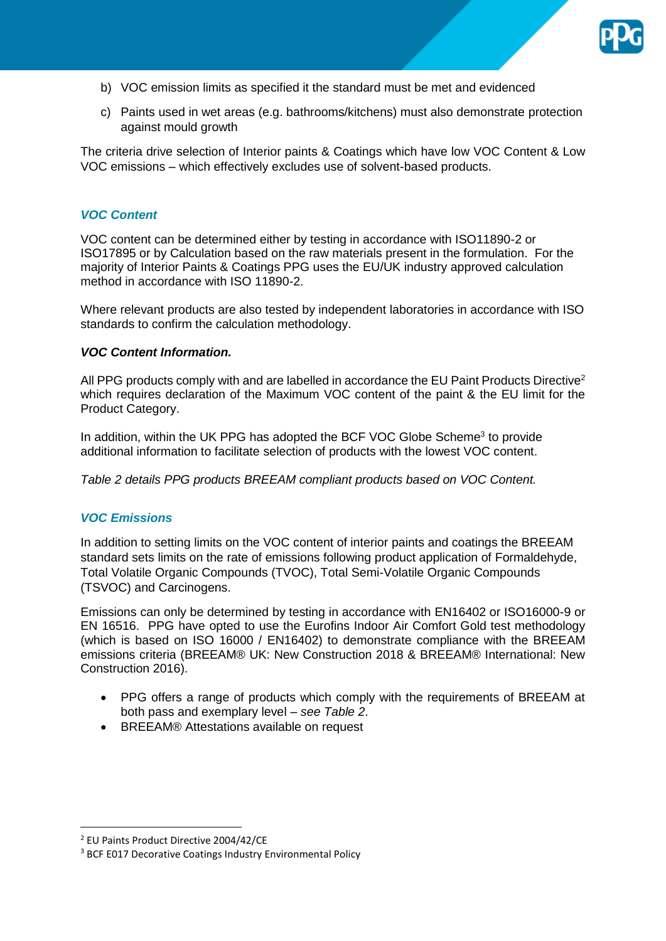

- b) VOC emission limits as specified it the standard must be met and evidenced
- c) Paints used in wet areas (e.g. bathrooms/kitchens) must also demonstrate protection against mould growth

The criteria drive selection of Interior paints & Coatings which have low VOC Content & Low VOC emissions – which effectively excludes use of solvent-based products.

#### *VOC Content*

VOC content can be determined either by testing in accordance with ISO11890-2 or ISO17895 or by Calculation based on the raw materials present in the formulation. For the majority of Interior Paints & Coatings PPG uses the EU/UK industry approved calculation method in accordance with ISO 11890-2.

Where relevant products are also tested by independent laboratories in accordance with ISO standards to confirm the calculation methodology.

#### *VOC Content Information.*

All PPG products comply with and are labelled in accordance the EU Paint Products Directive<sup>2</sup> which requires declaration of the Maximum VOC content of the paint & the EU limit for the Product Category.

In addition, within the UK PPG has adopted the BCF VOC Globe Scheme<sup>3</sup> to provide additional information to facilitate selection of products with the lowest VOC content.

*Table 2 details PPG products BREEAM compliant products based on VOC Content.*

## *VOC Emissions*

In addition to setting limits on the VOC content of interior paints and coatings the BREEAM standard sets limits on the rate of emissions following product application of Formaldehyde, Total Volatile Organic Compounds (TVOC), Total Semi-Volatile Organic Compounds (TSVOC) and Carcinogens.

Emissions can only be determined by testing in accordance with EN16402 or ISO16000-9 or EN 16516. PPG have opted to use the Eurofins Indoor Air Comfort Gold test methodology (which is based on ISO 16000 / EN16402) to demonstrate compliance with the BREEAM emissions criteria (BREEAM® UK: New Construction 2018 & BREEAM® International: New Construction 2016).

- PPG offers a range of products which comply with the requirements of BREEAM at both pass and exemplary level – *see Table 2*.
- BREEAM® Attestations available on request

1

<sup>2</sup> EU Paints Product Directive 2004/42/CE

<sup>&</sup>lt;sup>3</sup> BCF E017 Decorative Coatings Industry Environmental Policy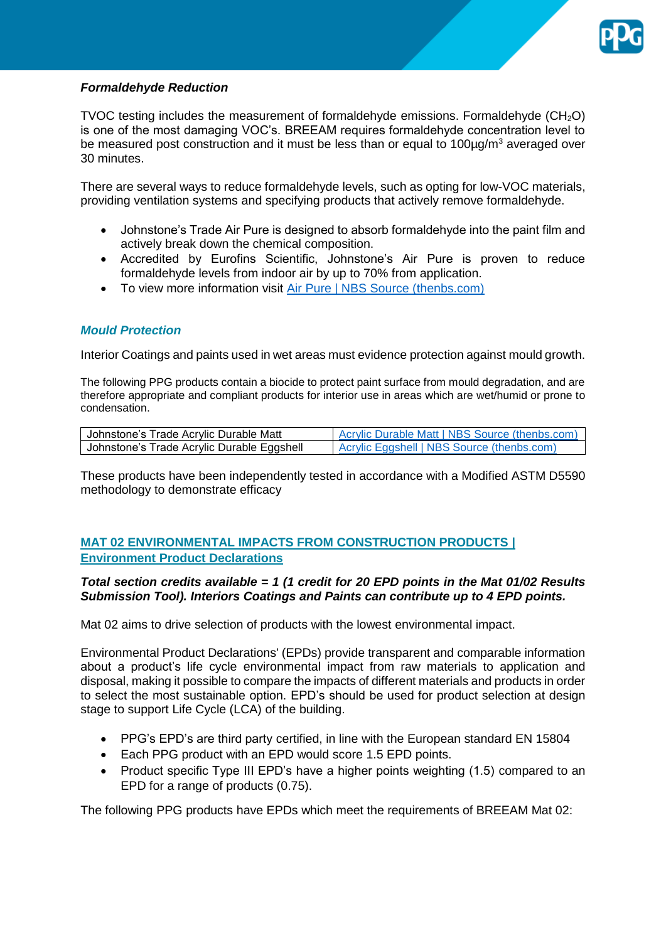

## *Formaldehyde Reduction*

TVOC testing includes the measurement of formaldehyde emissions. Formaldehyde  $(CH<sub>2</sub>O)$ is one of the most damaging VOC's. BREEAM requires formaldehyde concentration level to be measured post construction and it must be less than or equal to  $100\mu q/m<sup>3</sup>$  averaged over 30 minutes.

There are several ways to reduce formaldehyde levels, such as opting for low-VOC materials, providing ventilation systems and specifying products that actively remove formaldehyde.

- Johnstone's Trade Air Pure is designed to absorb formaldehyde into the paint film and actively break down the chemical composition.
- Accredited by Eurofins Scientific, Johnstone's Air Pure is proven to reduce formaldehyde levels from indoor air by up to 70% from application.
- To view more information visit [Air Pure | NBS Source \(thenbs.com\)](https://source.thenbs.com/product/air-pure/t937xqRZmddjHPBXjX74vg/pyNHMcPzPfkSBZePQMbiUc)

## *Mould Protection*

Interior Coatings and paints used in wet areas must evidence protection against mould growth.

The following PPG products contain a biocide to protect paint surface from mould degradation, and are therefore appropriate and compliant products for interior use in areas which are wet/humid or prone to condensation.

| Johnstone's Trade Acrylic Durable Matt     | <b>Acrylic Durable Matt   NBS Source (thenbs.com)</b> |  |  |  |
|--------------------------------------------|-------------------------------------------------------|--|--|--|
| Johnstone's Trade Acrylic Durable Eggshell | <b>Acrylic Eggshell   NBS Source (thenbs.com)</b>     |  |  |  |

These products have been independently tested in accordance with a Modified ASTM D5590 methodology to demonstrate efficacy

## **MAT 02 ENVIRONMENTAL IMPACTS FROM CONSTRUCTION PRODUCTS | Environment Product Declarations**

### *Total section credits available = 1 (1 credit for 20 EPD points in the Mat 01/02 Results Submission Tool). Interiors Coatings and Paints can contribute up to 4 EPD points.*

Mat 02 aims to drive selection of products with the lowest environmental impact.

Environmental Product Declarations' (EPDs) provide transparent and comparable information about a product's life cycle environmental impact from raw materials to application and disposal, making it possible to compare the impacts of different materials and products in order to select the most sustainable option. EPD's should be used for product selection at design stage to support Life Cycle (LCA) of the building.

- PPG's EPD's are third party certified, in line with the European standard EN 15804
- Each PPG product with an EPD would score 1.5 EPD points.
- Product specific Type III EPD's have a higher points weighting (1.5) compared to an EPD for a range of products (0.75).

The following PPG products have EPDs which meet the requirements of BREEAM Mat 02: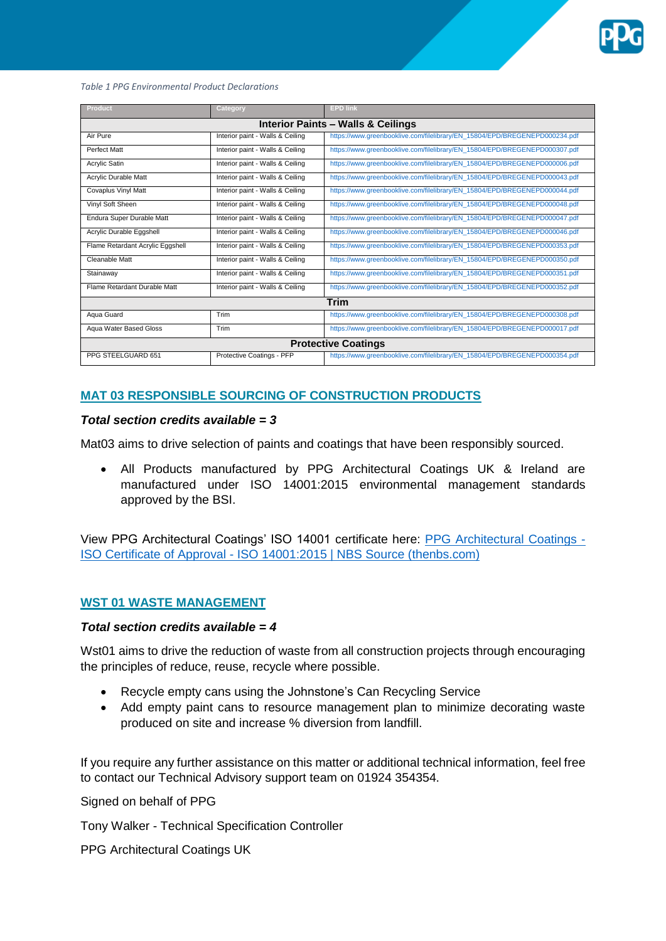

*Table 1 PPG Environmental Product Declarations*

| Product                                       | Category                         | <b>EPD link</b>                                                            |  |  |  |  |  |
|-----------------------------------------------|----------------------------------|----------------------------------------------------------------------------|--|--|--|--|--|
| <b>Interior Paints - Walls &amp; Ceilings</b> |                                  |                                                                            |  |  |  |  |  |
| Air Pure                                      | Interior paint - Walls & Ceiling | https://www.greenbooklive.com/filelibrary/EN_15804/EPD/BREGENEPD000234.pdf |  |  |  |  |  |
| Perfect Matt                                  | Interior paint - Walls & Ceiling | https://www.qreenbooklive.com/filelibrary/EN 15804/EPD/BREGENEPD000307.pdf |  |  |  |  |  |
| Acrylic Satin                                 | Interior paint - Walls & Ceiling | https://www.greenbooklive.com/filelibrary/EN_15804/EPD/BREGENEPD000006.pdf |  |  |  |  |  |
| <b>Acrylic Durable Matt</b>                   | Interior paint - Walls & Ceiling | https://www.qreenbooklive.com/filelibrary/EN 15804/EPD/BREGENEPD000043.pdf |  |  |  |  |  |
| <b>Covaplus Vinyl Matt</b>                    | Interior paint - Walls & Ceiling | https://www.greenbooklive.com/filelibrary/EN_15804/EPD/BREGENEPD000044.pdf |  |  |  |  |  |
| Vinyl Soft Sheen                              | Interior paint - Walls & Ceiling | https://www.qreenbooklive.com/filelibrary/EN 15804/EPD/BREGENEPD000048.pdf |  |  |  |  |  |
| Endura Super Durable Matt                     | Interior paint - Walls & Ceiling | https://www.greenbooklive.com/filelibrary/EN_15804/EPD/BREGENEPD000047.pdf |  |  |  |  |  |
| Acrylic Durable Eggshell                      | Interior paint - Walls & Ceiling | https://www.greenbooklive.com/filelibrary/EN_15804/EPD/BREGENEPD000046.pdf |  |  |  |  |  |
| Flame Retardant Acrylic Eggshell              | Interior paint - Walls & Ceiling | https://www.greenbooklive.com/filelibrary/EN_15804/EPD/BREGENEPD000353.pdf |  |  |  |  |  |
| <b>Cleanable Matt</b>                         | Interior paint - Walls & Ceiling | https://www.greenbooklive.com/filelibrary/EN_15804/EPD/BREGENEPD000350.pdf |  |  |  |  |  |
| Stainaway                                     | Interior paint - Walls & Ceiling | https://www.greenbooklive.com/filelibrary/EN_15804/EPD/BREGENEPD000351.pdf |  |  |  |  |  |
| Flame Retardant Durable Matt                  | Interior paint - Walls & Ceiling | https://www.greenbooklive.com/filelibrary/EN_15804/EPD/BREGENEPD000352.pdf |  |  |  |  |  |
| <b>Trim</b>                                   |                                  |                                                                            |  |  |  |  |  |
| Aqua Guard                                    | Trim                             | https://www.greenbooklive.com/filelibrary/EN_15804/EPD/BREGENEPD000308.pdf |  |  |  |  |  |
| <b>Aqua Water Based Gloss</b>                 | Trim                             | https://www.greenbooklive.com/filelibrary/EN_15804/EPD/BREGENEPD000017.pdf |  |  |  |  |  |
| <b>Protective Coatings</b>                    |                                  |                                                                            |  |  |  |  |  |
| PPG STEELGUARD 651                            | Protective Coatings - PFP        | https://www.qreenbooklive.com/filelibrary/EN 15804/EPD/BREGENEPD000354.pdf |  |  |  |  |  |

## **MAT 03 RESPONSIBLE SOURCING OF CONSTRUCTION PRODUCTS**

#### *Total section credits available = 3*

Mat03 aims to drive selection of paints and coatings that have been responsibly sourced.

 All Products manufactured by PPG Architectural Coatings UK & Ireland are manufactured under ISO 14001:2015 environmental management standards approved by the BSI.

View PPG Architectural Coatings' ISO 14001 certificate here: [PPG Architectural Coatings -](https://source.thenbs.com/third-party-certification/ppg-architectural-coatings-iso-certificate-of-approval-iso-140012015/otHGPhDTAGrnAy85Z9A7Mf/3ZKwA8Hfi8CFGzauUkeBHN) ISO Certificate of Approval - [ISO 14001:2015 | NBS Source \(thenbs.com\)](https://source.thenbs.com/third-party-certification/ppg-architectural-coatings-iso-certificate-of-approval-iso-140012015/otHGPhDTAGrnAy85Z9A7Mf/3ZKwA8Hfi8CFGzauUkeBHN)

#### **WST 01 WASTE MANAGEMENT**

#### *Total section credits available = 4*

Wst01 aims to drive the reduction of waste from all construction projects through encouraging the principles of reduce, reuse, recycle where possible.

- Recycle empty cans using the Johnstone's Can Recycling Service
- Add empty paint cans to resource management plan to minimize decorating waste produced on site and increase % diversion from landfill.

If you require any further assistance on this matter or additional technical information, feel free to contact our Technical Advisory support team on 01924 354354.

Signed on behalf of PPG

Tony Walker - Technical Specification Controller

PPG Architectural Coatings UK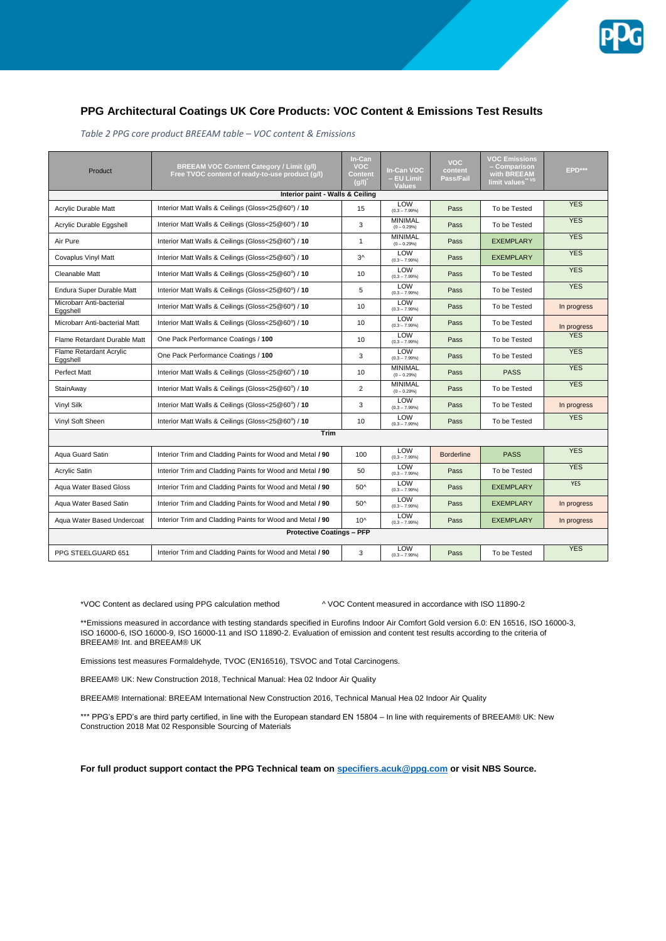

#### **PPG Architectural Coatings UK Core Products: VOC Content & Emissions Test Results**

| Product                              | <b>BREEAM VOC Content Category / Limit (g/l)</b><br>Free TVOC content of ready-to-use product (q/l) | In-Can<br><b>VOC</b><br>Content<br>(q/l) | In-Can VOC<br>- EU Limit<br><b>Values</b> | <b>VOC</b><br>content<br>Pass/Fail | <b>VOC Emissions</b><br>- Comparison<br>with <b>BREEAM</b><br>limit values <sup>" vs</sup> | EPD***      |  |  |  |
|--------------------------------------|-----------------------------------------------------------------------------------------------------|------------------------------------------|-------------------------------------------|------------------------------------|--------------------------------------------------------------------------------------------|-------------|--|--|--|
| Interior paint - Walls & Ceiling     |                                                                                                     |                                          |                                           |                                    |                                                                                            |             |  |  |  |
| <b>Acrylic Durable Matt</b>          | Interior Matt Walls & Ceilings (Gloss<25@60°) / 10                                                  |                                          | LOW<br>$(0.3 - 7.99%)$                    | Pass                               | To be Tested                                                                               | <b>YES</b>  |  |  |  |
| Acrylic Durable Eggshell             | Interior Matt Walls & Ceilings (Gloss<25@60°) / 10                                                  | 3                                        | <b>MINIMAL</b><br>$(0 - 0.29%)$           | Pass                               | To be Tested                                                                               | <b>YES</b>  |  |  |  |
| Air Pure                             | Interior Matt Walls & Ceilings (Gloss<25@60°) / 10                                                  | $\mathbf{1}$                             | <b>MINIMAL</b><br>$(0 - 0.29%)$           | Pass                               | <b>EXEMPLARY</b>                                                                           | <b>YES</b>  |  |  |  |
| <b>Covaplus Vinvl Matt</b>           | Interior Matt Walls & Ceilings (Gloss<25@60°) / 10                                                  | $3^$                                     | LOW<br>$(0.3 - 7.99%)$                    | Pass                               | <b>EXEMPLARY</b>                                                                           | <b>YES</b>  |  |  |  |
| Cleanable Matt                       | Interior Matt Walls & Ceilings (Gloss<25@60°) / 10                                                  | 10                                       | LOW<br>$(0.3 - 7.99%)$                    | Pass                               | To be Tested                                                                               | <b>YES</b>  |  |  |  |
| Endura Super Durable Matt            | Interior Matt Walls & Ceilings (Gloss<25@60°) / 10                                                  | 5                                        | <b>LOW</b><br>$(0.3 - 7.99%)$             | Pass                               | To be Tested                                                                               | <b>YES</b>  |  |  |  |
| Microbarr Anti-bacterial<br>Eggshell | Interior Matt Walls & Ceilings (Gloss<25@60°) / 10                                                  | 10                                       | LOW<br>$(0.3 - 7.99%)$                    | Pass                               | To be Tested                                                                               | In progress |  |  |  |
| Microbarr Anti-bacterial Matt        | Interior Matt Walls & Ceilings (Gloss<25@60°) / 10                                                  | 10                                       | LOW<br>$(0.3 - 7.99\%)$                   | Pass                               | To be Tested                                                                               | In progress |  |  |  |
| Flame Retardant Durable Matt         | One Pack Performance Coatings / 100                                                                 | 10                                       | LOW<br>$(0.3 - 7.99%)$                    | Pass                               | To be Tested                                                                               | <b>YES</b>  |  |  |  |
| Flame Retardant Acrylic<br>Eggshell  | One Pack Performance Coatings / 100                                                                 | 3                                        | LOW<br>$(0.3 - 7.99%)$                    | Pass                               | To be Tested                                                                               | <b>YES</b>  |  |  |  |
| <b>Perfect Matt</b>                  | Interior Matt Walls & Ceilings (Gloss<25@60°) / 10                                                  | 10                                       | <b>MINIMAL</b><br>$(0 - 0.29%)$           | Pass                               | <b>PASS</b>                                                                                | <b>YES</b>  |  |  |  |
| StainAway                            | Interior Matt Walls & Ceilings (Gloss<25@60°) / 10                                                  | $\overline{2}$                           | <b>MINIMAL</b><br>$(0 - 0.29%)$           | Pass                               | To be Tested                                                                               | <b>YES</b>  |  |  |  |
| Vinyl Silk                           | Interior Matt Walls & Ceilings (Gloss<25@60°) / 10                                                  | 3                                        | LOW<br>$(0.3 - 7.99%)$                    | Pass                               | To be Tested                                                                               | In progress |  |  |  |
| Vinyl Soft Sheen                     | Interior Matt Walls & Ceilings (Gloss<25@60°) / 10                                                  | 10 <sup>1</sup>                          | LOW<br>$(0.3 - 7.99%)$                    | Pass                               | To be Tested                                                                               | <b>YES</b>  |  |  |  |
| Trim                                 |                                                                                                     |                                          |                                           |                                    |                                                                                            |             |  |  |  |
| Agua Guard Satin                     | Interior Trim and Cladding Paints for Wood and Metal / 90                                           | 100                                      | LOW<br>$(0.3 - 7.99%)$                    | <b>Borderline</b>                  | <b>PASS</b>                                                                                | <b>YES</b>  |  |  |  |
| Acrylic Satin                        | Interior Trim and Cladding Paints for Wood and Metal / 90                                           | 50                                       | LOW<br>$(0.3 - 7.99%)$                    | Pass                               | To be Tested                                                                               | <b>YES</b>  |  |  |  |
| Agua Water Based Gloss               | Interior Trim and Cladding Paints for Wood and Metal / 90                                           | 50^                                      | LOW<br>$(0.3 - 7.99%)$                    | Pass                               | <b>EXEMPLARY</b>                                                                           | <b>YES</b>  |  |  |  |
| Aqua Water Based Satin               | Interior Trim and Cladding Paints for Wood and Metal / 90                                           | 50^                                      | LOW<br>$(0.3 - 7.99%)$                    | Pass                               | <b>EXEMPLARY</b>                                                                           | In progress |  |  |  |
| Agua Water Based Undercoat           | Interior Trim and Cladding Paints for Wood and Metal / 90                                           |                                          | LOW<br>$(0.3 - 7.99%)$                    | Pass                               | <b>EXEMPLARY</b>                                                                           | In progress |  |  |  |
| <b>Protective Coatings - PFP</b>     |                                                                                                     |                                          |                                           |                                    |                                                                                            |             |  |  |  |
| PPG STEELGUARD 651                   | Interior Trim and Cladding Paints for Wood and Metal / 90                                           | 3                                        | LOW<br>$(0.3 - 7.99%)$                    | Pass                               | To be Tested                                                                               | <b>YES</b>  |  |  |  |

*Table 2 PPG core product BREEAM table – VOC content & Emissions*

\*VOC Content as declared using PPG calculation method ^ VOC Content measured in accordance with ISO 11890-2

\*\*Emissions measured in accordance with testing standards specified in Eurofins Indoor Air Comfort Gold version 6.0: EN 16516, ISO 16000-3, ISO 16000-6, ISO 16000-9, ISO 16000-11 and ISO 11890-2. Evaluation of emission and content test results according to the criteria of BREEAM® Int. and BREEAM® UK

Emissions test measures Formaldehyde, TVOC (EN16516), TSVOC and Total Carcinogens.

BREEAM® UK: New Construction 2018, Technical Manual: Hea 02 Indoor Air Quality

BREEAM® International: BREEAM International New Construction 2016, Technical Manual Hea 02 Indoor Air Quality

\*\*\* PPG's EPD's are third party certified, in line with the European standard EN 15804 – In line with requirements of BREEAM® UK: New Construction 2018 Mat 02 Responsible Sourcing of Materials

**For full product support contact the PPG Technical team o[n specifiers.acuk@ppg.com](mailto:specifiers.acuk@ppg.com) or visit NBS Source.**